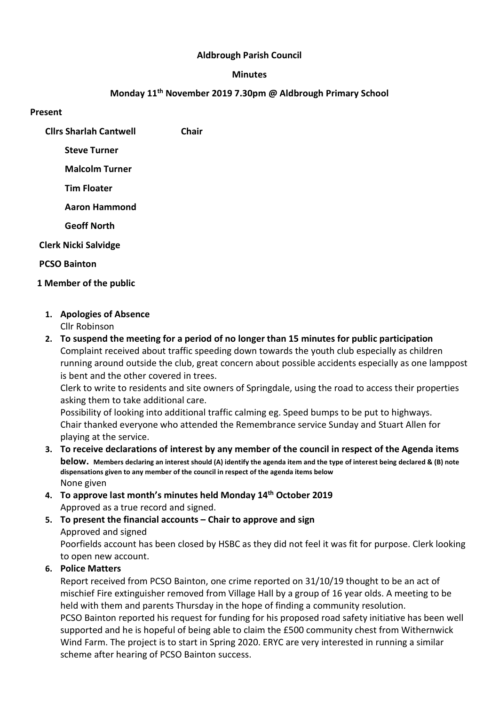## Aldbrough Parish Council

#### Minutes

## Monday 11th November 2019 7.30pm @ Aldbrough Primary School

#### Present

Cllrs Sharlah Cantwell Chair

Steve Turner

Malcolm Turner

Tim Floater

Aaron Hammond

Geoff North

## Clerk Nicki Salvidge

PCSO Bainton

- 1 Member of the public
	- 1. Apologies of Absence Cllr Robinson
	- 2. To suspend the meeting for a period of no longer than 15 minutes for public participation Complaint received about traffic speeding down towards the youth club especially as children running around outside the club, great concern about possible accidents especially as one lamppost is bent and the other covered in trees.

Clerk to write to residents and site owners of Springdale, using the road to access their properties asking them to take additional care.

Possibility of looking into additional traffic calming eg. Speed bumps to be put to highways. Chair thanked everyone who attended the Remembrance service Sunday and Stuart Allen for playing at the service.

- 3. To receive declarations of interest by any member of the council in respect of the Agenda items below. Members declaring an interest should (A) identify the agenda item and the type of interest being declared & (B) note dispensations given to any member of the council in respect of the agenda items below None given
- 4. To approve last month's minutes held Monday 14th October 2019 Approved as a true record and signed.
- 5. To present the financial accounts Chair to approve and sign Approved and signed

Poorfields account has been closed by HSBC as they did not feel it was fit for purpose. Clerk looking to open new account.

# 6. Police Matters

Report received from PCSO Bainton, one crime reported on 31/10/19 thought to be an act of mischief Fire extinguisher removed from Village Hall by a group of 16 year olds. A meeting to be held with them and parents Thursday in the hope of finding a community resolution. PCSO Bainton reported his request for funding for his proposed road safety initiative has been well supported and he is hopeful of being able to claim the £500 community chest from Withernwick Wind Farm. The project is to start in Spring 2020. ERYC are very interested in running a similar scheme after hearing of PCSO Bainton success.